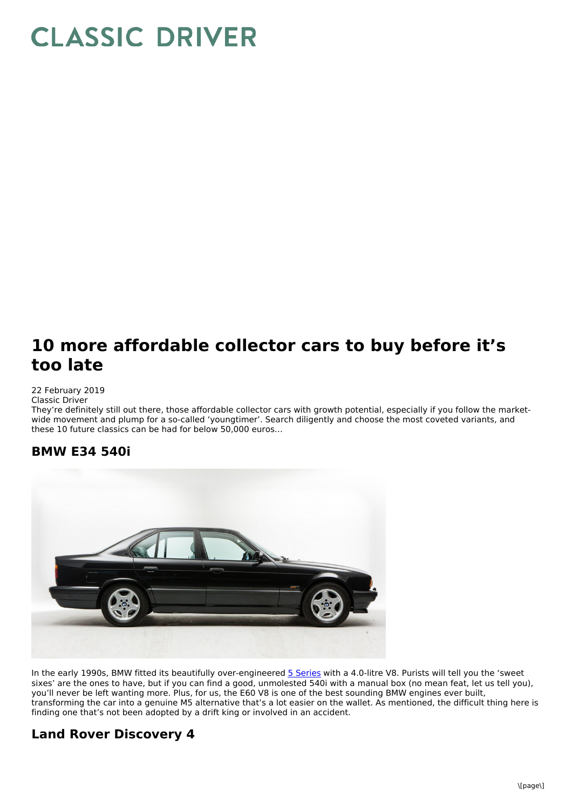# **CLASSIC DRIVER**

## **10 more affordable collector cars to buy before it's too late**

#### 22 February 2019

Classic Driver

They're definitely still out there, those affordable collector cars with growth potential, especially if you follow the marketwide movement and plump for a so-called 'youngtimer'. Search diligently and choose the most coveted variants, and these 10 future classics can be had for below 50,000 euros…

#### **BMW E34 540i**



In the early 1990s, BMW fitted its beautifully over-engineered **5 [Series](https://www.classicdriver.com/en/cars/bmw/540?brand=1&make=1&search_type=advanced&model=1274&page=1)** with a 4.0-litre V8. Purists will tell you the 'sweet sixes' are the ones to have, but if you can find a good, unmolested 540i with a manual box (no mean feat, let us tell you), you'll never be left wanting more. Plus, for us, the E60 V8 is one of the best sounding BMW engines ever built, transforming the car into a genuine M5 alternative that's a lot easier on the wallet. As mentioned, the difficult thing here is finding one that's not been adopted by a drift king or involved in an accident.

#### **Land Rover Discovery 4**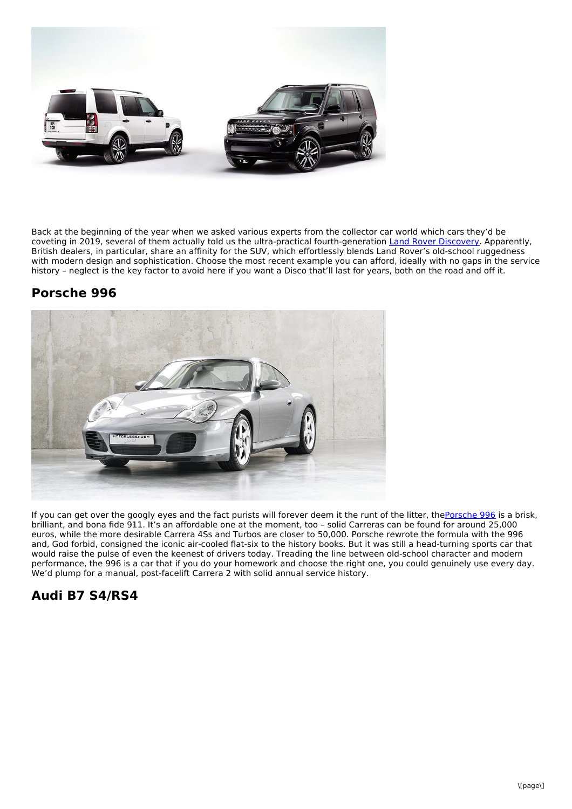

Back at the beginning of the year when we asked various experts from the collector car world which cars they'd be coveting in 2019, several of them actually told us the ultra-practical fourth-generation Land Rover [Discovery](https://www.classicdriver.com/en/cars/land-rover/discovery?brand=171&make=171&search_type=advanced&model=1478&page=1). Apparently, British dealers, in particular, share an affinity for the SUV, which effortlessly blends Land Rover's old-school ruggedness with modern design and sophistication. Choose the most recent example you can afford, ideally with no gaps in the service history – neglect is the key factor to avoid here if you want a Disco that'll last for years, both on the road and off it.

#### **Porsche 996**



If you can get over the googly eyes and the fact purists will forever deem it the runt of the litter, the[Porsche](https://www.classicdriver.com/en/cars/porsche/911-996-carrera-1998-2006?brand=209&make=209&search_type=advanced&model=3024) 996 is a brisk, brilliant, and bona fide 911. It's an affordable one at the moment, too – solid Carreras can be found for around 25,000 euros, while the more desirable Carrera 4Ss and Turbos are closer to 50,000. Porsche rewrote the formula with the 996 and, God forbid, consigned the iconic air-cooled flat-six to the history books. But it was still a head-turning sports car that would raise the pulse of even the keenest of drivers today. Treading the line between old-school character and modern performance, the 996 is a car that if you do your homework and choose the right one, you could genuinely use every day. We'd plump for a manual, post-facelift Carrera 2 with solid annual service history.

#### **Audi B7 S4/RS4**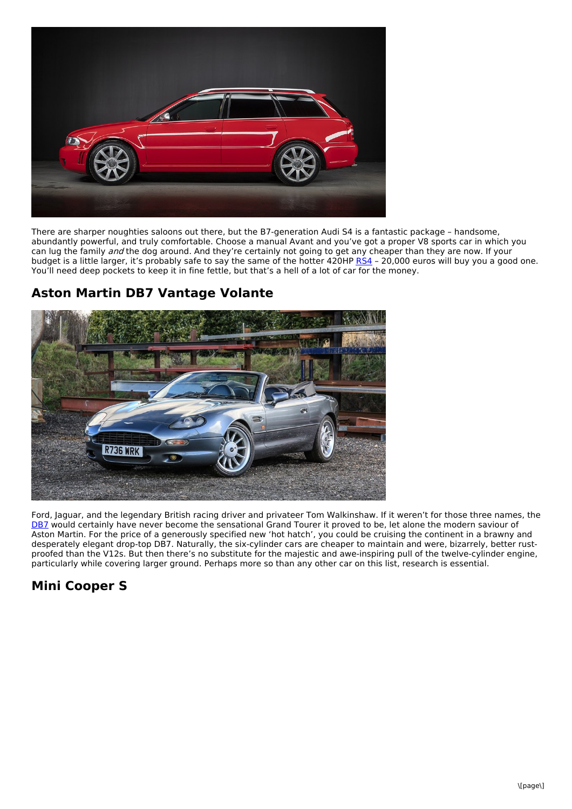

There are sharper noughties saloons out there, but the B7-generation Audi S4 is a fantastic package – handsome, abundantly powerful, and truly comfortable. Choose a manual Avant and you've got a proper V8 sports car in which you can lug the family and the dog around. And they're certainly not going to get any cheaper than they are now. If your budget is a little larger, it's probably safe to say the same of the hotter 420HP [RS4](https://www.classicdriver.com/en/cars/audi/rs-4?search_type=advanced&make=112&model=2042) – 20,000 euros will buy you a good one. You'll need deep pockets to keep it in fine fettle, but that's a hell of a lot of car for the money.

### **Aston Martin DB7 Vantage Volante**



Ford, Jaguar, and the legendary British racing driver and privateer Tom Walkinshaw. If it weren't for those three names, the [DB7](https://www.classicdriver.com/en/cars/aston-martin/db7-vantage-1999-2003?brand=110&make=110&search_type=advanced&model=2434&page=1) would certainly have never become the sensational Grand Tourer it proved to be, let alone the modern saviour of Aston Martin. For the price of a generously specified new 'hot hatch', you could be cruising the continent in a brawny and desperately elegant drop-top DB7. Naturally, the six-cylinder cars are cheaper to maintain and were, bizarrely, better rustproofed than the V12s. But then there's no substitute for the majestic and awe-inspiring pull of the twelve-cylinder engine, particularly while covering larger ground. Perhaps more so than any other car on this list, research is essential.

#### **Mini Cooper S**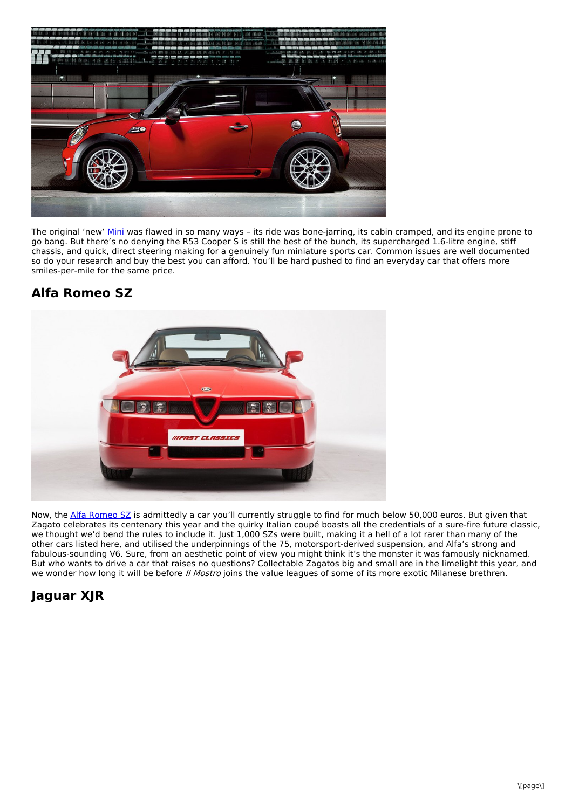

The original 'new' [Mini](https://www.classicdriver.com/en/cars/mini?search_type=advanced&make=1118&page=1) was flawed in so many ways - its ride was bone-jarring, its cabin cramped, and its engine prone to go bang. But there's no denying the R53 Cooper S is still the best of the bunch, its supercharged 1.6-litre engine, stiff chassis, and quick, direct steering making for a genuinely fun miniature sports car. Common issues are well documented so do your research and buy the best you can afford. You'll be hard pushed to find an everyday car that offers more smiles-per-mile for the same price.

#### **Alfa Romeo SZ**



Now, the Alfa [Romeo](https://www.classicdriver.com/en/cars/alfa-romeo/sz-coupe-1755?search_type=advanced&make=107&model=1755) SZ is admittedly a car you'll currently struggle to find for much below 50,000 euros. But given that Zagato celebrates its centenary this year and the quirky Italian coupé boasts all the credentials of a sure-fire future classic, we thought we'd bend the rules to include it. Just 1,000 SZs were built, making it a hell of a lot rarer than many of the other cars listed here, and utilised the underpinnings of the 75, motorsport-derived suspension, and Alfa's strong and fabulous-sounding V6. Sure, from an aesthetic point of view you might think it's the monster it was famously nicknamed. But who wants to drive a car that raises no questions? Collectable Zagatos big and small are in the limelight this year, and we wonder how long it will be before *Il Mostro* joins the value leagues of some of its more exotic Milanese brethren.

#### **Jaguar XJR**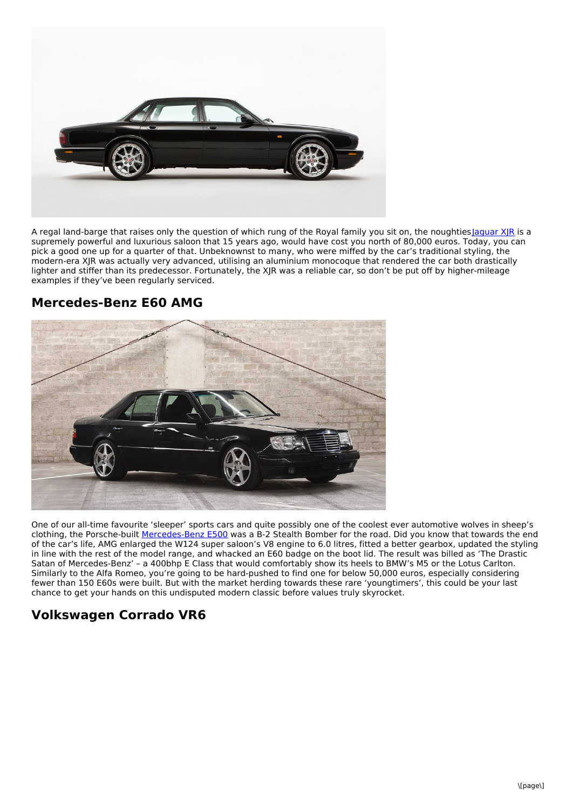

A regal land-barge that raises only the question of which rung of the Royal family you sit on, the noughtie[sJaguar](https://www.classicdriver.com/en/cars/jaguar/xjr-1996-2008?brand=165&make=165&search_type=advanced&model=7829) XJR is a supremely powerful and luxurious saloon that 15 years ago, would have cost you north of 80,000 euros. Today, you can pick a good one up for a quarter of that. Unbeknownst to many, who were miffed by the car's traditional styling, the modern-era XJR was actually very advanced, utilising an aluminium monocoque that rendered the car both drastically lighter and stiffer than its predecessor. Fortunately, the XJR was a reliable car, so don't be put off by higher-mileage examples if they've been regularly serviced.



**Mercedes-Benz E60 AMG**

One of our all-time favourite 'sleeper' sports cars and quite possibly one of the coolest ever automotive wolves in sheep's clothing, the Porsche-built [Mercedes-Benz](https://www.classicdriver.com/en/cars/mercedes-benz/e-class?brand=189&make=189&search_type=advanced&model=4957) E500 was a B-2 Stealth Bomber for the road. Did you know that towards the end of the car's life, AMG enlarged the W124 super saloon's V8 engine to 6.0 litres, fitted a better gearbox, updated the styling in line with the rest of the model range, and whacked an E60 badge on the boot lid. The result was billed as 'The Drastic Satan of Mercedes-Benz' – a 400bhp E Class that would comfortably show its heels to BMW's M5 or the Lotus Carlton. Similarly to the Alfa Romeo, you're going to be hard-pushed to find one for below 50,000 euros, especially considering fewer than 150 E60s were built. But with the market herding towards these rare 'youngtimers', this could be your last chance to get your hands on this undisputed modern classic before values truly skyrocket.

#### **Volkswagen Corrado VR6**